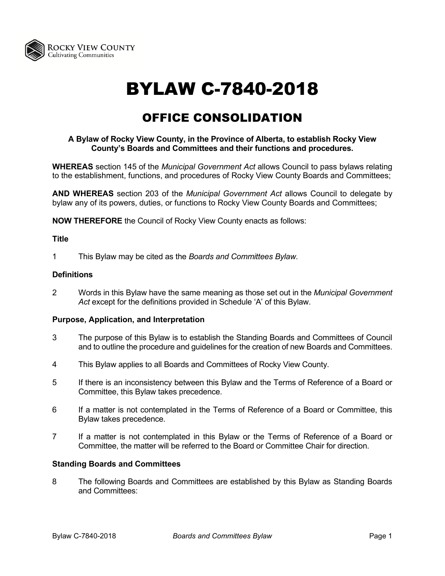

# BYLAW C-7840-2018

## OFFICE CONSOLIDATION

#### **A Bylaw of Rocky View County, in the Province of Alberta, to establish Rocky View County's Boards and Committees and their functions and procedures.**

**WHEREAS** section 145 of the *Municipal Government Act* allows Council to pass bylaws relating to the establishment, functions, and procedures of Rocky View County Boards and Committees;

**AND WHEREAS** section 203 of the *Municipal Government Act* allows Council to delegate by bylaw any of its powers, duties, or functions to Rocky View County Boards and Committees;

**NOW THEREFORE** the Council of Rocky View County enacts as follows:

#### **Title**

1 This Bylaw may be cited as the *Boards and Committees Bylaw*.

#### **Definitions**

2 Words in this Bylaw have the same meaning as those set out in the *Municipal Government Act* except for the definitions provided in Schedule 'A' of this Bylaw.

#### **Purpose, Application, and Interpretation**

- 3 The purpose of this Bylaw is to establish the Standing Boards and Committees of Council and to outline the procedure and guidelines for the creation of new Boards and Committees.
- 4 This Bylaw applies to all Boards and Committees of Rocky View County.
- 5 If there is an inconsistency between this Bylaw and the Terms of Reference of a Board or Committee, this Bylaw takes precedence.
- 6 If a matter is not contemplated in the Terms of Reference of a Board or Committee, this Bylaw takes precedence.
- 7 If a matter is not contemplated in this Bylaw or the Terms of Reference of a Board or Committee, the matter will be referred to the Board or Committee Chair for direction.

#### **Standing Boards and Committees**

8 The following Boards and Committees are established by this Bylaw as Standing Boards and Committees: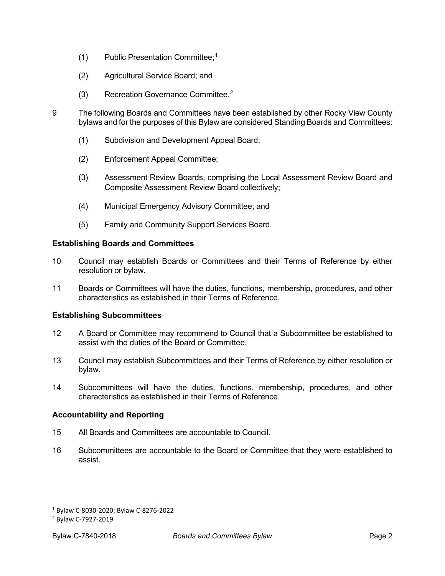- (1) Public Presentation Committee; [1](#page-1-0)
- (2) Agricultural Service Board; and
- (3) Recreation Governance Committee.[2](#page-1-1)
- 9 The following Boards and Committees have been established by other Rocky View County bylaws and for the purposes of this Bylaw are considered Standing Boards and Committees:
	- (1) Subdivision and Development Appeal Board;
	- (2) Enforcement Appeal Committee;
	- (3) Assessment Review Boards, comprising the Local Assessment Review Board and Composite Assessment Review Board collectively;
	- (4) Municipal Emergency Advisory Committee; and
	- (5) Family and Community Support Services Board.

#### **Establishing Boards and Committees**

- 10 Council may establish Boards or Committees and their Terms of Reference by either resolution or bylaw.
- 11 Boards or Committees will have the duties, functions, membership, procedures, and other characteristics as established in their Terms of Reference.

#### **Establishing Subcommittees**

- 12 A Board or Committee may recommend to Council that a Subcommittee be established to assist with the duties of the Board or Committee.
- 13 Council may establish Subcommittees and their Terms of Reference by either resolution or bylaw.
- 14 Subcommittees will have the duties, functions, membership, procedures, and other characteristics as established in their Terms of Reference.

#### **Accountability and Reporting**

- 15 All Boards and Committees are accountable to Council.
- 16 Subcommittees are accountable to the Board or Committee that they were established to assist.

<span id="page-1-0"></span><sup>1</sup> Bylaw C-8030-2020; Bylaw C-8276-2022

<span id="page-1-1"></span><sup>2</sup> Bylaw C-7927-2019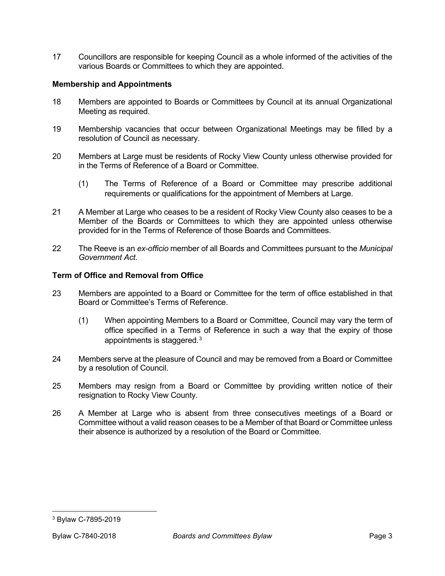17 Councillors are responsible for keeping Council as a whole informed of the activities of the various Boards or Committees to which they are appointed.

#### **Membership and Appointments**

- 18 Members are appointed to Boards or Committees by Council at its annual Organizational Meeting as required.
- 19 Membership vacancies that occur between Organizational Meetings may be filled by a resolution of Council as necessary.
- 20 Members at Large must be residents of Rocky View County unless otherwise provided for in the Terms of Reference of a Board or Committee.
	- (1) The Terms of Reference of a Board or Committee may prescribe additional requirements or qualifications for the appointment of Members at Large.
- 21 A Member at Large who ceases to be a resident of Rocky View County also ceases to be a Member of the Boards or Committees to which they are appointed unless otherwise provided for in the Terms of Reference of those Boards and Committees.
- 22 The Reeve is an *ex-officio* member of all Boards and Committees pursuant to the *Municipal Government Act*.

#### **Term of Office and Removal from Office**

- 23 Members are appointed to a Board or Committee for the term of office established in that Board or Committee's Terms of Reference.
	- (1) When appointing Members to a Board or Committee, Council may vary the term of office specified in a Terms of Reference in such a way that the expiry of those appointments is staggered.[3](#page-2-0)
- 24 Members serve at the pleasure of Council and may be removed from a Board or Committee by a resolution of Council.
- 25 Members may resign from a Board or Committee by providing written notice of their resignation to Rocky View County.
- 26 A Member at Large who is absent from three consecutives meetings of a Board or Committee without a valid reason ceases to be a Member of that Board or Committee unless their absence is authorized by a resolution of the Board or Committee.

<span id="page-2-0"></span><sup>3</sup> Bylaw C-7895-2019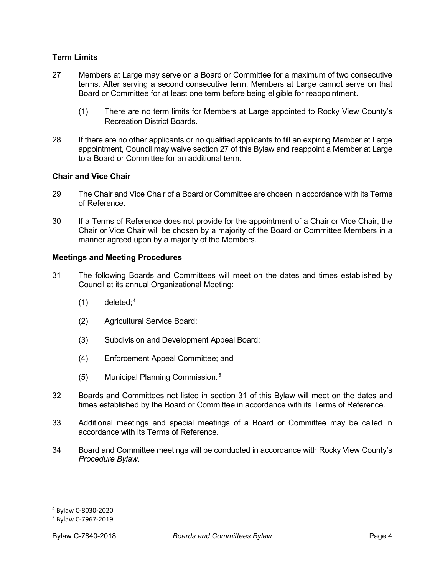#### **Term Limits**

- 27 Members at Large may serve on a Board or Committee for a maximum of two consecutive terms. After serving a second consecutive term, Members at Large cannot serve on that Board or Committee for at least one term before being eligible for reappointment.
	- (1) There are no term limits for Members at Large appointed to Rocky View County's Recreation District Boards.
- 28 If there are no other applicants or no qualified applicants to fill an expiring Member at Large appointment, Council may waive section 27 of this Bylaw and reappoint a Member at Large to a Board or Committee for an additional term.

#### **Chair and Vice Chair**

- 29 The Chair and Vice Chair of a Board or Committee are chosen in accordance with its Terms of Reference.
- 30 If a Terms of Reference does not provide for the appointment of a Chair or Vice Chair, the Chair or Vice Chair will be chosen by a majority of the Board or Committee Members in a manner agreed upon by a majority of the Members.

#### **Meetings and Meeting Procedures**

- 31 The following Boards and Committees will meet on the dates and times established by Council at its annual Organizational Meeting:
	- $(1)$  deleted;<sup>[4](#page-3-0)</sup>
	- (2) Agricultural Service Board;
	- (3) Subdivision and Development Appeal Board;
	- (4) Enforcement Appeal Committee; and
	- (5) Municipal Planning Commission.[5](#page-3-1)
- 32 Boards and Committees not listed in section 31 of this Bylaw will meet on the dates and times established by the Board or Committee in accordance with its Terms of Reference.
- 33 Additional meetings and special meetings of a Board or Committee may be called in accordance with its Terms of Reference.
- 34 Board and Committee meetings will be conducted in accordance with Rocky View County's *Procedure Bylaw*.

<span id="page-3-0"></span><sup>4</sup> Bylaw C-8030-2020

<span id="page-3-1"></span><sup>5</sup> Bylaw C-7967-2019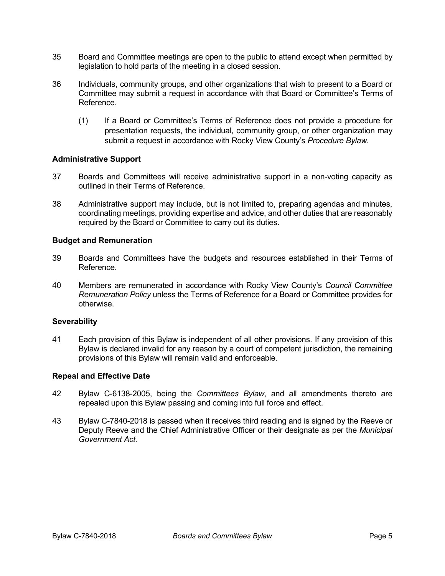- 35 Board and Committee meetings are open to the public to attend except when permitted by legislation to hold parts of the meeting in a closed session.
- 36 Individuals, community groups, and other organizations that wish to present to a Board or Committee may submit a request in accordance with that Board or Committee's Terms of Reference.
	- (1) If a Board or Committee's Terms of Reference does not provide a procedure for presentation requests, the individual, community group, or other organization may submit a request in accordance with Rocky View County's *Procedure Bylaw.*

#### **Administrative Support**

- 37 Boards and Committees will receive administrative support in a non-voting capacity as outlined in their Terms of Reference.
- 38 Administrative support may include, but is not limited to, preparing agendas and minutes, coordinating meetings, providing expertise and advice, and other duties that are reasonably required by the Board or Committee to carry out its duties.

#### **Budget and Remuneration**

- 39 Boards and Committees have the budgets and resources established in their Terms of Reference.
- 40 Members are remunerated in accordance with Rocky View County's *Council Committee Remuneration Policy* unless the Terms of Reference for a Board or Committee provides for otherwise.

#### **Severability**

41 Each provision of this Bylaw is independent of all other provisions. If any provision of this Bylaw is declared invalid for any reason by a court of competent jurisdiction, the remaining provisions of this Bylaw will remain valid and enforceable.

#### **Repeal and Effective Date**

- 42 Bylaw C-6138-2005, being the *Committees Bylaw*, and all amendments thereto are repealed upon this Bylaw passing and coming into full force and effect.
- 43 Bylaw C-7840-2018 is passed when it receives third reading and is signed by the Reeve or Deputy Reeve and the Chief Administrative Officer or their designate as per the *Municipal Government Act.*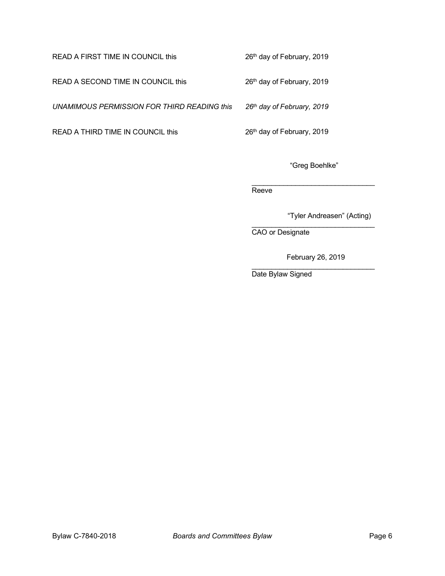### READ A FIRST TIME IN COUNCIL this 26<sup>th</sup> day of February, 2019

READ A SECOND TIME IN COUNCIL this 26<sup>th</sup> day of February, 2019

*UNAMIMOUS PERMISSION FOR THIRD READING this 26th day of February, 2019*

READ A THIRD TIME IN COUNCIL this 26<sup>th</sup> day of February, 2019

"Greg Boehlke"

\_\_\_\_\_\_\_\_\_\_\_\_\_\_\_\_\_\_\_\_\_\_\_\_\_\_\_\_\_\_\_ Reeve<sup>1</sup>

"Tyler Andreasen" (Acting)

\_\_\_\_\_\_\_\_\_\_\_\_\_\_\_\_\_\_\_\_\_\_\_\_\_\_\_\_\_\_\_ CAO or Designate

February 26, 2019

\_\_\_\_\_\_\_\_\_\_\_\_\_\_\_\_\_\_\_\_\_\_\_\_\_\_\_\_\_\_\_ Date Bylaw Signed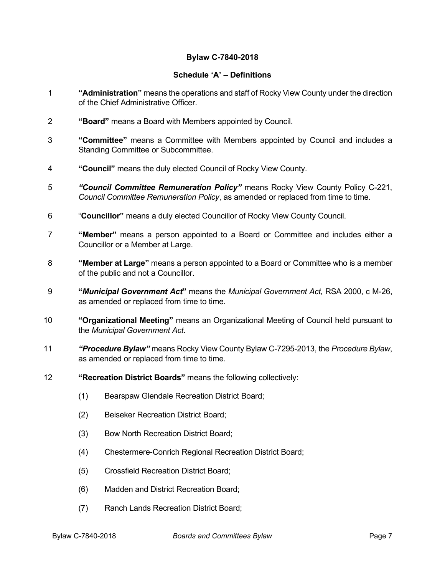#### **Bylaw C-7840-2018**

#### **Schedule 'A' – Definitions**

- 1 **"Administration"** means the operations and staff of Rocky View County under the direction of the Chief Administrative Officer.
- 2 **"Board"** means a Board with Members appointed by Council.
- 3 **"Committee"** means a Committee with Members appointed by Council and includes a Standing Committee or Subcommittee.
- 4 **"Council"** means the duly elected Council of Rocky View County.
- 5 *"Council Committee Remuneration Policy"* means Rocky View County Policy C-221, *Council Committee Remuneration Policy*, as amended or replaced from time to time.
- 6 "**Councillor"** means a duly elected Councillor of Rocky View County Council.
- 7 **"Member"** means a person appointed to a Board or Committee and includes either a Councillor or a Member at Large.
- 8 **"Member at Large"** means a person appointed to a Board or Committee who is a member of the public and not a Councillor.
- 9 **"***Municipal Government Act***"** means the *Municipal Government Act,* RSA 2000, c M-26, as amended or replaced from time to time.
- 10 **"Organizational Meeting"** means an Organizational Meeting of Council held pursuant to the *Municipal Government Act*.
- 11 *"Procedure Bylaw"* means Rocky View County Bylaw C-7295-2013, the *Procedure Bylaw*, as amended or replaced from time to time.
- 12 **"Recreation District Boards"** means the following collectively:
	- (1) Bearspaw Glendale Recreation District Board;
	- (2) Beiseker Recreation District Board;
	- (3) Bow North Recreation District Board;
	- (4) Chestermere-Conrich Regional Recreation District Board;
	- (5) Crossfield Recreation District Board;
	- (6) Madden and District Recreation Board;
	- (7) Ranch Lands Recreation District Board;